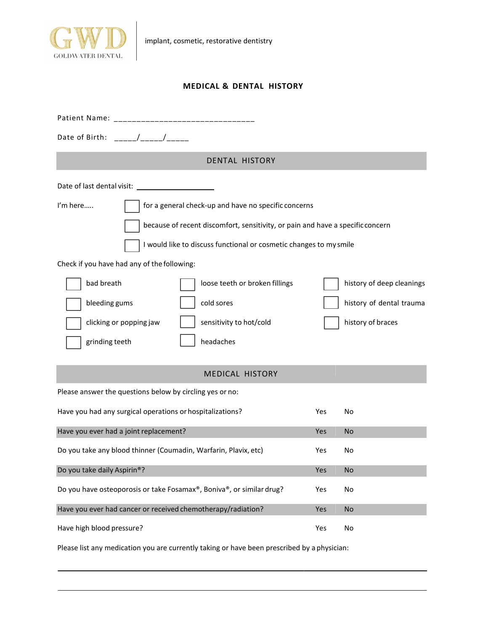

## **MEDICAL & DENTAL HISTORY**

| Date of Birth: / /                                                             |      |                           |  |  |  |
|--------------------------------------------------------------------------------|------|---------------------------|--|--|--|
| <b>DENTAL HISTORY</b>                                                          |      |                           |  |  |  |
|                                                                                |      |                           |  |  |  |
| I'm here<br>for a general check-up and have no specific concerns               |      |                           |  |  |  |
| because of recent discomfort, sensitivity, or pain and have a specific concern |      |                           |  |  |  |
| I would like to discuss functional or cosmetic changes to my smile             |      |                           |  |  |  |
| Check if you have had any of the following:                                    |      |                           |  |  |  |
| bad breath<br>loose teeth or broken fillings                                   |      | history of deep cleanings |  |  |  |
| bleeding gums<br>cold sores                                                    |      | history of dental trauma  |  |  |  |
| clicking or popping jaw<br>sensitivity to hot/cold                             |      | history of braces         |  |  |  |
| grinding teeth<br>headaches                                                    |      |                           |  |  |  |
| <b>MEDICAL HISTORY</b>                                                         |      |                           |  |  |  |
| Please answer the questions below by circling yes or no:                       |      |                           |  |  |  |
| Have you had any surgical operations or hospitalizations?                      | Yes. | No                        |  |  |  |
| Have you ever had a joint replacement?                                         | Yes  | <b>No</b>                 |  |  |  |
| Do you take any blood thinner (Coumadin, Warfarin, Plavix, etc)                | Yes  | No                        |  |  |  |
| Do you take daily Aspirin®?                                                    | Yes  | <b>No</b>                 |  |  |  |
| Do you have osteoporosis or take Fosamax®, Boniva®, or similar drug?           | Yes  | No                        |  |  |  |
| Have you ever had cancer or received chemotherapy/radiation?                   | Yes  | <b>No</b>                 |  |  |  |
| Have high blood pressure?                                                      | Yes  | No                        |  |  |  |

Please list any medication you are currently taking or have been prescribed by a physician: